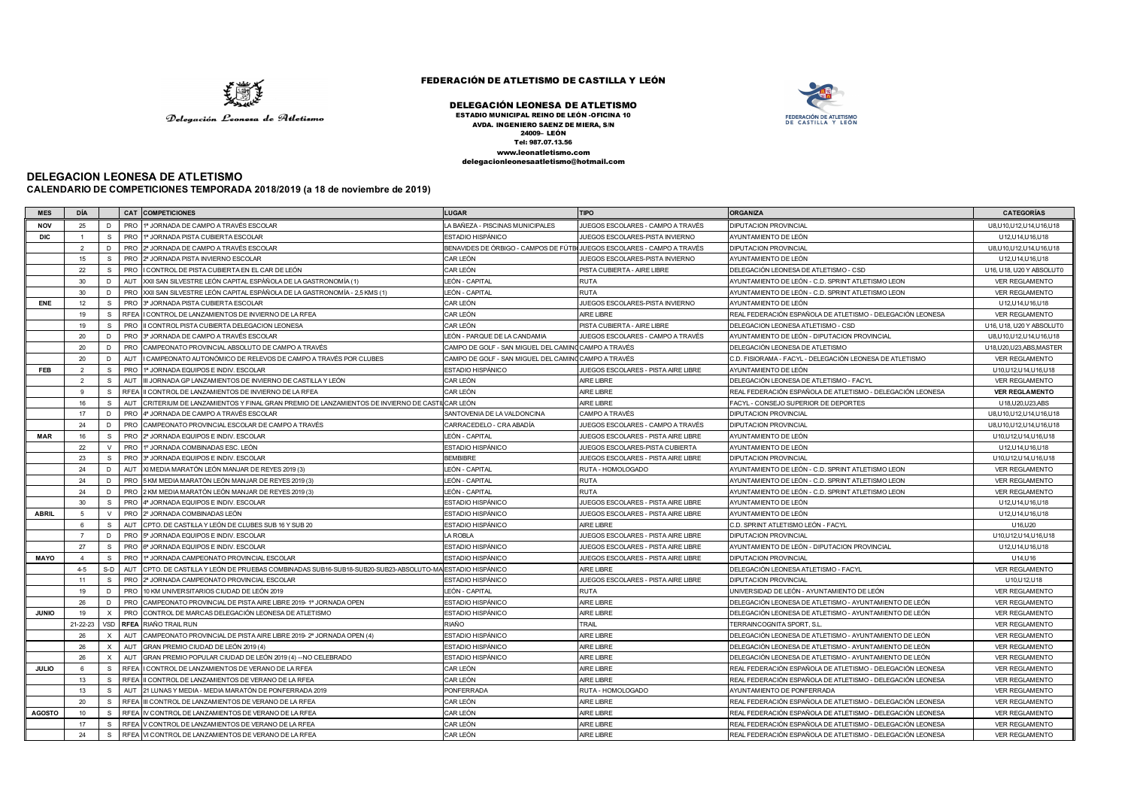

## FEDERACIÓN DE ATLETISMO DE CASTILLA Y LEÓN

## DELEGACIÓN LEONESA DE ATLETISMO

ESTADIO MUNICIPAL REINO DE LEÓN -OFICINA 10 AVDA. INGENIERO SAENZ DE MIERA, S/N 24009– LEÓN Tel: 987.07.13.56 www.leonatletismo.com delegacionleonesaatletismo@hotmail.com



## **DELEGACION LEONESA DE ATLETISMO**

**CALENDARIO DE COMPETICIONES TEMPORADA 2018/2019 (a 18 de noviembre de 2019)**

| <b>MES</b>    | <b>DÍA</b>     |               | CAT COMPETICIONES                                                                                           | <b>LUGAR</b>                                                           | <b>TIPO</b>                               | <b>ORGANIZA</b>                                                                                                          | <b>CATEGORÍAS</b>           |
|---------------|----------------|---------------|-------------------------------------------------------------------------------------------------------------|------------------------------------------------------------------------|-------------------------------------------|--------------------------------------------------------------------------------------------------------------------------|-----------------------------|
| <b>NOV</b>    | 25             | D             | PRO 1ª JORNADA DE CAMPO A TRAVÉS ESCOLAR                                                                    | LA BAÑEZA - PISCINAS MUNICIPALES                                       | JUEGOS ESCOLARES - CAMPO A TRAVÉS         | DIPUTACION PROVINCIAL                                                                                                    | U8, U10, U12, U14, U16, U18 |
| <b>DIC</b>    |                | S.            | PRO 1ª JORNADA PISTA CUBIERTA ESCOLAR                                                                       | ESTADIO HISPÁNICO                                                      | JUEGOS ESCOLARES-PISTA INVIERNO           | AYUNTAMIENTO DE LEÓN                                                                                                     | U12, U14, U16, U18          |
|               | 2              | D             | PRO 2ª JORNADA DE CAMPO A TRAVÉS ESCOLAR                                                                    | BENAVIDES DE ÓRBIGO - CAMPOS DE FÚTBOJUEGOS ESCOLARES - CAMPO A TRAVÉS |                                           | DIPUTACION PROVINCIAL                                                                                                    | U8, U10, U12, U14, U16, U18 |
|               | 15             | s.            | PRO 2ª JORNADA PISTA INVIERNO ESCOLAR                                                                       | CAR LEÓN                                                               | JUEGOS ESCOLARES-PISTA INVIERNO           | AYUNTAMIENTO DE LEÓN                                                                                                     | U12, U14, U16, U18          |
|               | 22             | S.            | PRO I CONTROL DE PISTA CUBIERTA EN EL CAR DE LEÓN                                                           | CAR LEÓN                                                               | PISTA CUBIERTA - AIRE LIBRE               | DELEGACIÓN LEONESA DE ATLETISMO - CSD                                                                                    | U16, U18, U20 Y ABSOLUT0    |
|               | 30             | D.            | AUT XXII SAN SILVESTRE LEÓN CAPITAL ESPÀÑOLA DE LA GASTRONOMÍA (1)                                          | LEÓN - CAPITAL                                                         | RUTA                                      | AYUNTAMIENTO DE LEÓN - C.D. SPRINT ATLETISMO LEON                                                                        | <b>VER REGLAMENTO</b>       |
|               | 30             | D.            | PRO XXII SAN SILVESTRE LEÓN CAPITAL ESPÀÑOLA DE LA GASTRONOMÍA - 2,5 KMS (1)                                | LEÓN - CAPITAL                                                         | RUTA                                      | AYUNTAMIENTO DE LEÓN - C.D. SPRINT ATLETISMO LEON                                                                        | <b>VER REGLAMENTO</b>       |
| ENE           | 12             | S.            | PRO 3ª JORNADA PISTA CUBIERTA ESCOLAR                                                                       | CAR LEÓN                                                               | JUEGOS ESCOLARES-PISTA INVIERNO           | AYUNTAMIENTO DE LEÓN                                                                                                     | U12, U14, U16, U18          |
|               | 19             | S.            | RFEA I CONTROL DE LANZAMIENTOS DE INVIERNO DE LA RFEA                                                       | CAR LEÓN                                                               | AIRE LIBRE                                | REAL FEDERACIÓN ESPAÑOLA DE ATLETISMO - DELEGACIÓN LEONESA                                                               | VER REGLAMENTO              |
|               | 19             | S.            | PRO III CONTROL PISTA CUBIERTA DELEGACION LEONESA                                                           | CAR LEÓN                                                               | PISTA CUBIERTA - AIRE LIBRE               | DELEGACION LEONESA ATLETISMO - CSD                                                                                       | U16, U18, U20 Y ABSOLUT0    |
|               | 20             | D             | PRO 3ª JORNADA DE CAMPO A TRAVÉS ESCOLAR                                                                    | LEÓN - PARQUE DE LA CANDAMIA                                           | JUEGOS ESCOLARES - CAMPO A TRAVÉS         | AYUNTAMIENTO DE LEÓN - DIPUTACION PROVINCIAL                                                                             | U8, U10, U12, U14, U16, U18 |
|               | 20             | D             | PRO CAMPEONATO PROVINCIAL ABSOLUTO DE CAMPO A TRAVÉS                                                        | CAMPO DE GOLF - SAN MIGUEL DEL CAMINOCAMPO A TRAVÉS                    |                                           | DELEGACIÓN LEONESA DE ATLETISMO                                                                                          | U18,U20,U23,ABS,MASTER      |
|               | 20             | D             | AUT I CAMPEONATO AUTONÓMICO DE RELEVOS DE CAMPO A TRAVÉS POR CLUBES                                         | CAMPO DE GOLF - SAN MIGUEL DEL CAMINO CAMPO A TRAVÉS                   |                                           | C.D. FISIORAMA - FACYL - DELEGACIÓN LEONESA DE ATLETISMO                                                                 | VER REGLAMENTO              |
| FEB           | 2              | s             | PRO 1ª JORNADA EQUIPOS E INDIV. ESCOLAR                                                                     | ESTADIO HISPÁNICO                                                      | JUEGOS ESCOLARES - PISTA AIRE LIBRE       | AYUNTAMIENTO DE LEÓN                                                                                                     | U10, U12, U14, U16, U18     |
|               | 2              | s.            | AUT<br>III JORNADA GP LANZAMIENTOS DE INVIERNO DE CASTILLA Y LEÓN                                           | CAR LEÓN                                                               | AIRE LIBRE                                | DELEGACIÓN LEONESA DE ATLETISMO - FACYL                                                                                  | <b>VER REGLAMENTO</b>       |
|               | 9              | s.            | RFEA II CONTROL DE LANZAMIENTOS DE INVIERNO DE LA RFEA                                                      | CAR LEÓN                                                               | AIRE LIBRE                                | REAL FEDERACIÓN ESPAÑOLA DE ATLETISMO - DELEGACIÓN LEONESA                                                               | <b>VER REGLAMENTO</b>       |
|               | 16             | $\mathbf{s}$  | <b>AUT</b><br>CRITERIUM DE LANZAMIENTOS Y FINAL GRAN PREMIO DE LANZAMIENTOS DE INVIERNO DE CAST             | ILCAR LEÓN                                                             | AIRE LIBRE                                | FACYL - CONSEJO SUPERIOR DE DEPORTES                                                                                     | U18, U20, U23, ABS          |
|               | 17             | D             | PRO 4ª JORNADA DE CAMPO A TRAVÉS ESCOLAR                                                                    | SANTOVENIA DE LA VALDONCINA                                            | <b>CAMPO A TRAVÉS</b>                     | <b>DIPUTACION PROVINCIAL</b>                                                                                             | U8, U10, U12, U14, U16, U18 |
|               | 24             | D             | PRO CAMPEONATO PROVINCIAL ESCOLAR DE CAMPO A TRAVÉS                                                         | CARRACEDELO - CRA ABADÍA                                               | JUEGOS ESCOLARES - CAMPO A TRAVÉS         | DIPUTACION PROVINCIAL                                                                                                    | U8, U10, U12, U14, U16, U18 |
| <b>MAR</b>    | 16             | s.            | PRO 2ª JORNADA EQUIPOS E INDIV. ESCOLAR                                                                     | LEÓN - CAPITAL                                                         | JUEGOS ESCOLARES - PISTA AIRE LIBRE       | AYUNTAMIENTO DE LEÓN                                                                                                     | U10, U12, U14, U16, U18     |
|               | 22             | $\vee$        | PRO 1º JORNADA COMBINADAS ESC. LEÓN                                                                         | ESTADIO HISPÁNICO                                                      | JUEGOS ESCOLARES-PISTA CUBIERTA           | AYUNTAMIENTO DE LEÓN                                                                                                     | U12, U14, U16, U18          |
|               | 23             | S.            | PRO 3ª JORNADA EQUIPOS E INDIV. ESCOLAR                                                                     | <b>BEMBIBRE</b>                                                        | JUEGOS ESCOLARES - PISTA AIRE LIBRE       | <b>DIPUTACION PROVINCIAL</b>                                                                                             | U10, U12, U14, U16, U18     |
|               | 24             | D             | AUT XI MEDIA MARATÓN LEÓN MANJAR DE REYES 2019 (3)                                                          | LEÓN - CAPITAL                                                         | RUTA - HOMOLOGADO                         | AYUNTAMIENTO DE LEÓN - C.D. SPRINT ATLETISMO LEON                                                                        | <b>VER REGLAMENTO</b>       |
|               | 24             | D             | PRO 5 KM MEDIA MARATÓN LEÓN MANJAR DE REYES 2019 (3)                                                        | LEÓN - CAPITAL                                                         | <b>RUTA</b>                               | AYUNTAMIENTO DE LEÓN - C.D. SPRINT ATLETISMO LEON                                                                        | VER REGLAMENTO              |
|               | 24             | D             | PRO 2 KM MEDIA MARATÓN LEÓN MANJAR DE REYES 2019 (3)                                                        | LEÓN - CAPITAL                                                         | <b>RUTA</b>                               | AYUNTAMIENTO DE LEÓN - C.D. SPRINT ATLETISMO LEON                                                                        | VER REGLAMENTO              |
|               | 30             | S.            | PRO 4ª JORNADA EQUIPOS E INDIV. ESCOLAR                                                                     | ESTADIO HISPÁNICO                                                      | JUEGOS ESCOLARES - PISTA AIRE LIBRE       | AYUNTAMIENTO DE LEÓN                                                                                                     | U12, U14, U16, U18          |
| <b>ABRIL</b>  | -5             |               | PRO 2º JORNADA COMBINADAS LEÓN                                                                              | ESTADIO HISPÁNICO                                                      | <b>UEGOS ESCOLARES - PISTA AIRE LIBRE</b> | AYUNTAMIENTO DE LEÓN                                                                                                     | U12, U14, U16, U18          |
|               | 6              | $\mathcal{S}$ | AUT CPTO. DE CASTILLA Y LEÓN DE CLUBES SUB 16 Y SUB 20                                                      | ESTADIO HISPÁNICO                                                      | AIRE LIBRE                                | C.D. SPRINT ATLETISMO LEÓN - FACYL                                                                                       | U16,U20                     |
|               |                | D             | PRO 5ª JORNADA EQUIPOS E INDIV. ESCOLAR                                                                     | LA ROBLA                                                               | JUEGOS ESCOLARES - PISTA AIRE LIBRE       | <b>DIPUTACION PROVINCIAL</b>                                                                                             | U10, U12, U14, U16, U18     |
|               | 27             | S.            | PRO 6ª JORNADA EQUIPOS E INDIV. ESCOLAR                                                                     | ESTADIO HISPÁNICO                                                      | JUEGOS ESCOLARES - PISTA AIRE LIBRE       | AYUNTAMIENTO DE LEÓN - DIPUTACION PROVINCIAL                                                                             | U12, U14, U16, U18          |
| <b>MAYO</b>   | $\overline{4}$ | s.            | PRO 1ª JORNADA CAMPEONATO PROVINCIAL ESCOLAR                                                                | <b>ESTADIO HISPÁNICO</b>                                               | JUEGOS ESCOLARES - PISTA AIRE LIBRE       | <b>DIPUTACION PROVINCIAL</b>                                                                                             | U14,U16                     |
|               | $4 - 5$        | $S-D$         | AUT CPTO. DE CASTILLA Y LEÓN DE PRUEBAS COMBINADAS SUB16-SUB18-SUB20-SUB23-ABSOLUTO-MA ESTADIO HISPÁNICO    |                                                                        | AIRE LIBRE                                | DELEGACIÓN LEONESA ATLETISMO - FACYL                                                                                     | VER REGLAMENTO              |
|               | 11             | S.            | PRO 2ª JORNADA CAMPEONATO PROVINCIAL ESCOLAR                                                                | ESTADIO HISPÁNICO                                                      | JUEGOS ESCOLARES - PISTA AIRE LIBRE       | <b>DIPUTACION PROVINCIAL</b>                                                                                             | U10, U12, U18               |
|               | 19             | D             | PRO 10 KM UNIVERSITARIOS CIUDAD DE LEÓN 2019                                                                | LEÓN - CAPITAL                                                         | <b>RUTA</b>                               | UNIVERSIDAD DE LEÓN - AYUNTAMIENTO DE LEÓN                                                                               | <b>VER REGLAMENTO</b>       |
|               | 26             | D             | PRO CAMPEONATO PROVINCIAL DE PISTA AIRE LIBRE 2019-1ª JORNADA OPEN                                          | ESTADIO HISPÁNICO                                                      | AIRE LIBRE                                | DELEGACIÓN LEONESA DE ATLETISMO - AYUNTAMIENTO DE LEÓN                                                                   | <b>VER REGLAMENTO</b>       |
| <b>JUNIO</b>  | 19             |               | PRO CONTROL DE MARCAS DELEGACIÓN LEONESA DE ATLETISMO                                                       | ESTADIO HISPÁNICO                                                      | AIRE LIBRE                                | DELEGACIÓN LEONESA DE ATLETISMO - AYUNTAMIENTO DE LEÓN                                                                   | <b>VER REGLAMENTO</b>       |
|               | 21-22-23       |               | VSD RFEA RIAÑO TRAIL RUN                                                                                    | RIAÑO                                                                  | <b>TRAIL</b>                              | <b>TERRAINCOGNITA SPORT, S.L</b>                                                                                         | <b>VER REGLAMENTO</b>       |
|               | 26             |               | AUT<br>CAMPEONATO PROVINCIAL DE PISTA AIRE LIBRE 2019-2ª JORNADA OPEN (4)                                   | ESTADIO HISPÁNICO                                                      | AIRE LIBRE                                | DELEGACIÓN LEONESA DE ATLETISMO - AYUNTAMIENTO DE LEÓN                                                                   | VER REGLAMENTO              |
|               | 26             |               | GRAN PREMIO CIUDAD DE LEÓN 2019 (4)<br>AUT                                                                  | ESTADIO HISPÁNICO                                                      | AIRE LIBRE                                | DELEGACIÓN LEONESA DE ATLETISMO - AYUNTAMIENTO DE LEÓN                                                                   | <b>VER REGLAMENTO</b>       |
|               | 26             | X             | AUT GRAN PREMIO POPULAR CIUDAD DE LEÓN 2019 (4) -- NO CELEBRADO                                             | ESTADIO HISPÁNICO                                                      | AIRE LIBRE                                | DELEGACIÓN LEONESA DE ATLETISMO - AYUNTAMIENTO DE LEÓN                                                                   | VER REGLAMENTO              |
| <b>JULIO</b>  | 6              | S.            | RFEA I CONTROL DE LANZAMIENTOS DE VERANO DE LA RFEA                                                         | CAR LEÓN                                                               | AIRE LIBRE                                | REAL FEDERACIÓN ESPAÑOLA DE ATLETISMO - DELEGACIÓN LEONESA                                                               | VER REGLAMENTO              |
|               | 13             | S.            | RFEA III CONTROL DE LANZAMIENTOS DE VERANO DE LA RFEA                                                       | CAR LEÓN                                                               | AIRE LIBRE                                | REAL FEDERACIÓN ESPAÑOLA DE ATLETISMO - DELEGACIÓN LEONESA                                                               | <b>VER REGLAMENTO</b>       |
|               | 13             | S.            | AUT 21 LUNAS Y MEDIA - MEDIA MARATÓN DE PONFERRADA 2019                                                     | PONFERRADA                                                             | RUTA - HOMOLOGADO                         | AYUNTAMIENTO DE PONFERRADA                                                                                               | VER REGLAMENTO              |
|               | 20<br>10       | S.<br>s.      | RFEA III CONTROL DE LANZAMIENTOS DE VERANO DE LA RFEA                                                       | CAR LEÓN<br>CAR LEÓN                                                   | AIRE LIBRE                                | REAL FEDERACIÓN ESPAÑOLA DE ATLETISMO - DELEGACIÓN LEONESA                                                               | VER REGLAMENTO              |
| <b>AGOSTO</b> | 17             | S.            | RFEA IV CONTROL DE LANZAMIENTOS DE VERANO DE LA RFEA<br>RFEA V CONTROL DE LANZAMIENTOS DE VERANO DE LA RFEA | CAR LEÓN                                                               | AIRE LIBRE                                | REAL FEDERACIÓN ESPAÑOLA DE ATLETISMO - DELEGACIÓN LEONESA<br>REAL FEDERACIÓN ESPAÑOLA DE ATLETISMO - DELEGACIÓN LEONESA | <b>VER REGLAMENTO</b>       |
|               | 24             | s.            |                                                                                                             | CAR LEÓN                                                               | AIRE LIBRE                                |                                                                                                                          | <b>VER REGLAMENTO</b>       |
|               |                |               | RFEA VI CONTROL DE LANZAMIENTOS DE VERANO DE LA RFEA                                                        |                                                                        | AIRE LIBRE                                | REAL FEDERACIÓN ESPAÑOLA DE ATLETISMO - DELEGACIÓN LEONESA                                                               | <b>VER REGLAMENTO</b>       |